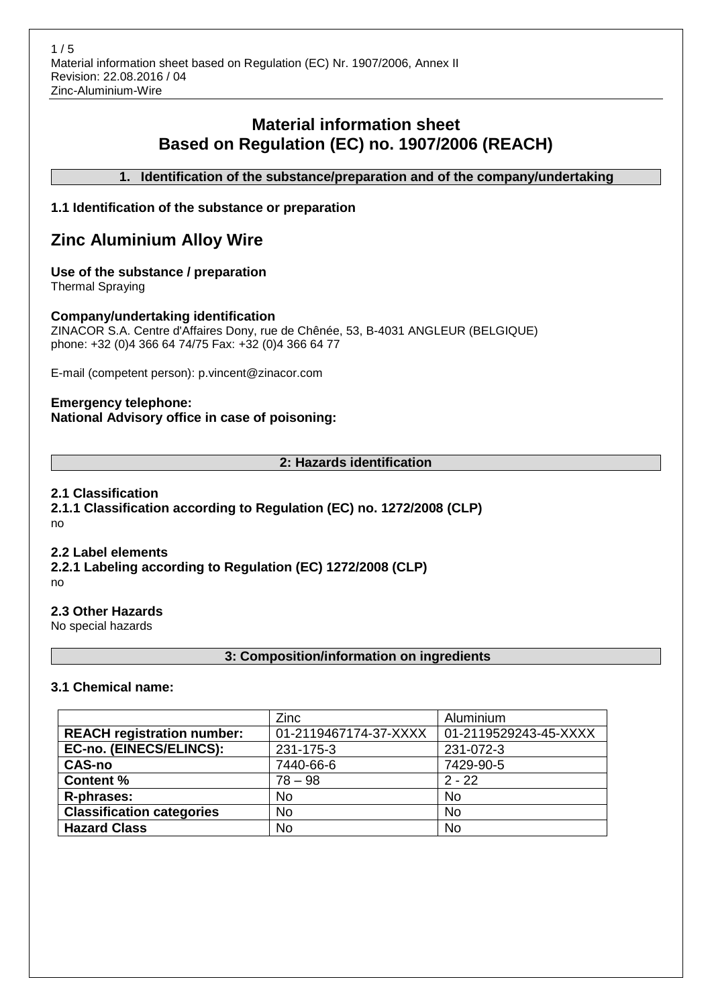# **Material information sheet Based on Regulation (EC) no. 1907/2006 (REACH)**

**1. Identification of the substance/preparation and of the company/undertaking**

## **1.1 Identification of the substance or preparation**

# **Zinc Aluminium Alloy Wire**

## **Use of the substance / preparation**

Thermal Spraying

### **Company/undertaking identification**

ZINACOR S.A. Centre d'Affaires Dony, rue de Chênée, 53, B-4031 ANGLEUR (BELGIQUE) phone: +32 (0)4 366 64 74/75 Fax: +32 (0)4 366 64 77

E-mail (competent person): p.vincent@zinacor.com

### **Emergency telephone: National Advisory office in case of poisoning:**

### **2: Hazards identification**

### **2.1 Classification**

**2.1.1 Classification according to Regulation (EC) no. 1272/2008 (CLP)** no

#### **2.2 Label elements**

**2.2.1 Labeling according to Regulation (EC) 1272/2008 (CLP)** no

## **2.3 Other Hazards**

No special hazards

## **3: Composition/information on ingredients**

#### **3.1 Chemical name:**

|                                   | Zinc                  | Aluminium             |
|-----------------------------------|-----------------------|-----------------------|
| <b>REACH registration number:</b> | 01-2119467174-37-XXXX | 01-2119529243-45-XXXX |
| EC-no. (EINECS/ELINCS):           | 231-175-3             | 231-072-3             |
| <b>CAS-no</b>                     | 7440-66-6             | 7429-90-5             |
| <b>Content %</b>                  | $78 - 98$             | $2 - 22$              |
| R-phrases:                        | <b>No</b>             | <b>No</b>             |
| <b>Classification categories</b>  | <b>No</b>             | <b>No</b>             |
| <b>Hazard Class</b>               | <b>No</b>             | <b>No</b>             |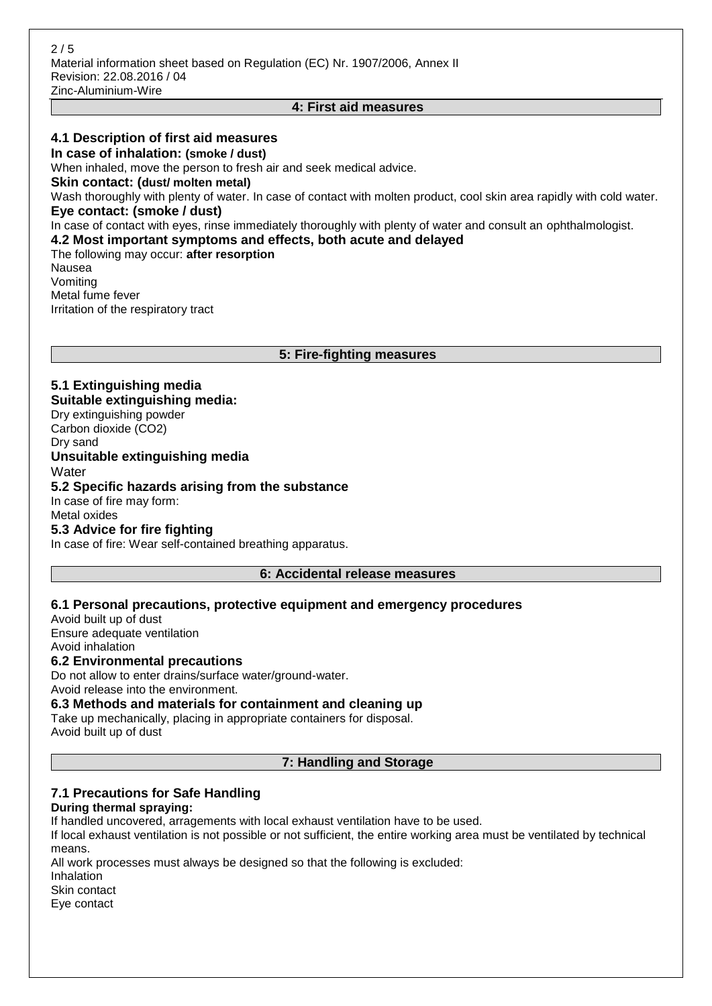#### **4: First aid measures**

#### **4.1 Description of first aid measures**

**In case of inhalation: (smoke / dust)**

When inhaled, move the person to fresh air and seek medical advice.

**Skin contact: (dust/ molten metal)**

Wash thoroughly with plenty of water. In case of contact with molten product, cool skin area rapidly with cold water. **Eye contact: (smoke / dust)**

In case of contact with eyes, rinse immediately thoroughly with plenty of water and consult an ophthalmologist.

**4.2 Most important symptoms and effects, both acute and delayed**

The following may occur: **after resorption** Nausea Vomiting Metal fume fever Irritation of the respiratory tract

**5: Fire-fighting measures**

## **5.1 Extinguishing media Suitable extinguishing media:**

Dry extinguishing powder Carbon dioxide (CO2) Dry sand

**Unsuitable extinguishing media**

**Water** 

#### **5.2 Specific hazards arising from the substance** In case of fire may form:

Metal oxides

## **5.3 Advice for fire fighting**

In case of fire: Wear self-contained breathing apparatus.

#### **6: Accidental release measures**

#### **6.1 Personal precautions, protective equipment and emergency procedures**

Avoid built up of dust Ensure adequate ventilation Avoid inhalation

## **6.2 Environmental precautions**

Do not allow to enter drains/surface water/ground-water. Avoid release into the environment.

**6.3 Methods and materials for containment and cleaning up**

Take up mechanically, placing in appropriate containers for disposal. Avoid built up of dust

#### **7: Handling and Storage**

## **7.1 Precautions for Safe Handling**

#### **During thermal spraying:**

If handled uncovered, arragements with local exhaust ventilation have to be used.

If local exhaust ventilation is not possible or not sufficient, the entire working area must be ventilated by technical means.

All work processes must always be designed so that the following is excluded:

Inhalation

Skin contact

Eye contact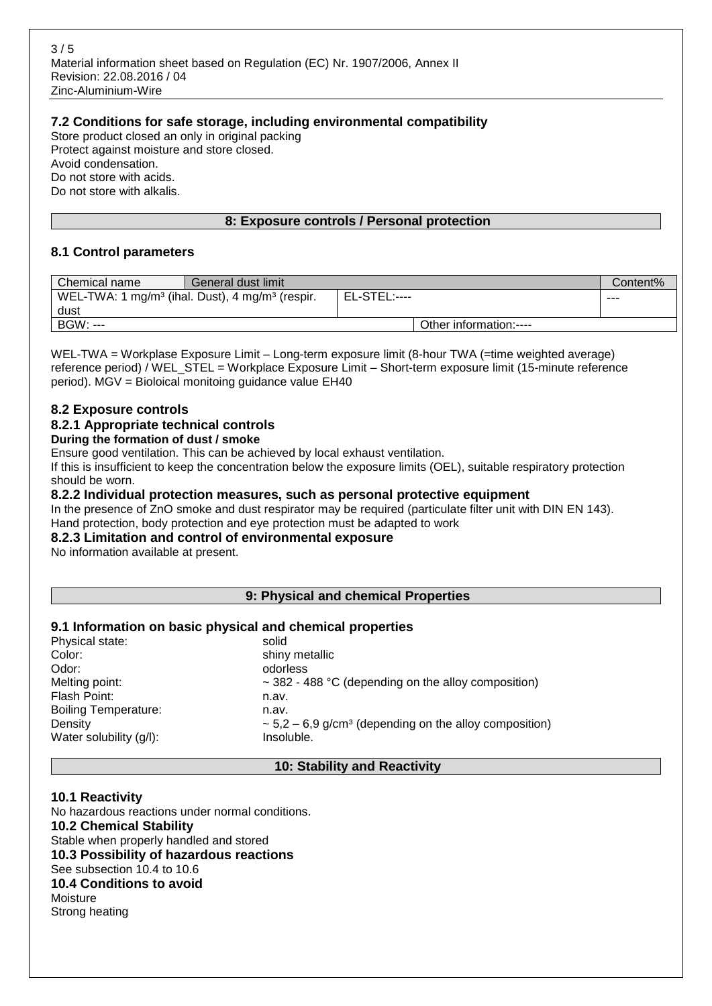### **7.2 Conditions for safe storage, including environmental compatibility**

Store product closed an only in original packing Protect against moisture and store closed. Avoid condensation. Do not store with acids. Do not store with alkalis.

### **8: Exposure controls / Personal protection**

### **8.1 Control parameters**

| Chemical name | General dust limit                                                      |                     |                        | Content% |
|---------------|-------------------------------------------------------------------------|---------------------|------------------------|----------|
|               | WEL-TWA: 1 mg/m <sup>3</sup> (ihal. Dust), 4 mg/m <sup>3</sup> (respir. | <b>EL-STEL:----</b> |                        | ---      |
| dust          |                                                                         |                     |                        |          |
| BGW: ---      |                                                                         |                     | Other information:---- |          |

WEL-TWA = Workplase Exposure Limit – Long-term exposure limit (8-hour TWA (=time weighted average) reference period) / WEL\_STEL = Workplace Exposure Limit – Short-term exposure limit (15-minute reference period). MGV = Bioloical monitoing guidance value EH40

#### **8.2 Exposure controls**

#### **8.2.1 Appropriate technical controls**

#### **During the formation of dust / smoke**

Ensure good ventilation. This can be achieved by local exhaust ventilation.

If this is insufficient to keep the concentration below the exposure limits (OEL), suitable respiratory protection should be worn.

#### **8.2.2 Individual protection measures, such as personal protective equipment**

In the presence of ZnO smoke and dust respirator may be required (particulate filter unit with DIN EN 143). Hand protection, body protection and eye protection must be adapted to work

## **8.2.3 Limitation and control of environmental exposure**

No information available at present.

#### **9: Physical and chemical Properties**

#### **9.1 Information on basic physical and chemical properties**

| Physical state:             | solid                                                                   |
|-----------------------------|-------------------------------------------------------------------------|
| Color:                      | shiny metallic                                                          |
| Odor:                       | odorless                                                                |
| Melting point:              | $\sim$ 382 - 488 °C (depending on the alloy composition)                |
| Flash Point:                | n.av.                                                                   |
| <b>Boiling Temperature:</b> | n.av.                                                                   |
| Density                     | $\sim$ 5,2 – 6,9 g/cm <sup>3</sup> (depending on the alloy composition) |
| Water solubility (g/l):     | Insoluble.                                                              |
|                             |                                                                         |

#### **10: Stability and Reactivity**

## **10.1 Reactivity**

No hazardous reactions under normal conditions. **10.2 Chemical Stability** Stable when properly handled and stored **10.3 Possibility of hazardous reactions** See subsection 10.4 to 10.6 **10.4 Conditions to avoid** Moisture Strong heating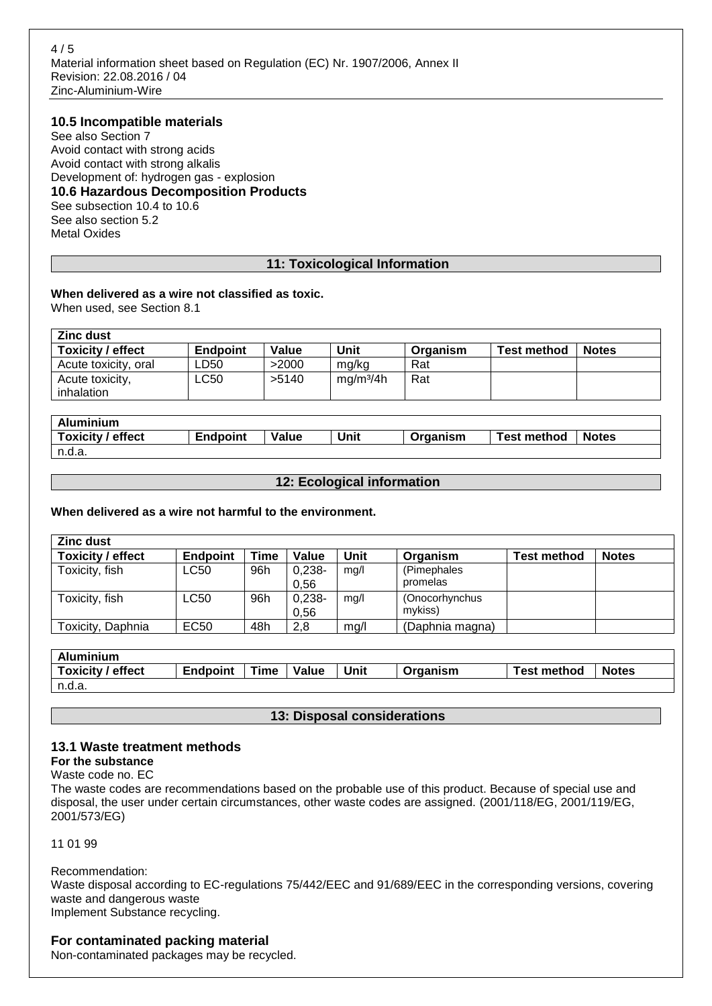#### **10.5 Incompatible materials**

See also Section 7 Avoid contact with strong acids Avoid contact with strong alkalis Development of: hydrogen gas - explosion **10.6 Hazardous Decomposition Products** See subsection 10.4 to 10.6 See also section 5.2 Metal Oxides

#### **11: Toxicological Information**

# **When delivered as a wire not classified as toxic.**

When used, see Section 8.1

| <b>Zinc dust</b>     |                 |       |                       |          |                    |              |  |  |
|----------------------|-----------------|-------|-----------------------|----------|--------------------|--------------|--|--|
| Toxicity / effect    | <b>Endpoint</b> | Value | Unit                  | Organism | <b>Test method</b> | <b>Notes</b> |  |  |
| Acute toxicity, oral | -D50            | >2000 | mg/kg                 | Rat      |                    |              |  |  |
| Acute toxicity,      | ∟C50            | >5140 | mq/m <sup>3</sup> /4h | Rat      |                    |              |  |  |
| inhalation           |                 |       |                       |          |                    |              |  |  |

| Aluminium         |                 |       |      |          |                    |              |
|-------------------|-----------------|-------|------|----------|--------------------|--------------|
| Toxicity / effect | <b>Endpoint</b> | Value | Unit | Organism | <b>Test method</b> | <b>Notes</b> |
| n.d.a.            |                 |       |      |          |                    |              |

#### **12: Ecological information**

**When delivered as a wire not harmful to the environment.**

| <b>Zinc dust</b>         |             |      |                   |      |                           |                    |              |  |
|--------------------------|-------------|------|-------------------|------|---------------------------|--------------------|--------------|--|
| <b>Toxicity / effect</b> | Endpoint    | Time | Value             | Unit | Organism                  | <b>Test method</b> | <b>Notes</b> |  |
| Toxicity, fish           | LC50        | 96h  | $0.238 -$<br>0.56 | mg/l | (Pimephales<br>promelas   |                    |              |  |
| Toxicity, fish           | <b>LC50</b> | 96h  | $0,238-$<br>0.56  | mg/l | (Onocorhynchus<br>mvkiss) |                    |              |  |
| Toxicity, Daphnia        | EC50        | 48h  | 2,8               | mg/l | (Daphnia magna)           |                    |              |  |

| Aluminium         |                 |      |       |      |          |                    |              |
|-------------------|-----------------|------|-------|------|----------|--------------------|--------------|
| Toxicity / effect | <b>Endpoint</b> | Time | Value | Unit | Organism | <b>Test method</b> | <b>Notes</b> |
| n.d.a.            |                 |      |       |      |          |                    |              |

#### **13: Disposal considerations**

#### **13.1 Waste treatment methods For the substance**

Waste code no. EC

The waste codes are recommendations based on the probable use of this product. Because of special use and disposal, the user under certain circumstances, other waste codes are assigned. (2001/118/EG, 2001/119/EG, 2001/573/EG)

11 01 99

Recommendation:

Waste disposal according to EC-regulations 75/442/EEC and 91/689/EEC in the corresponding versions, covering waste and dangerous waste Implement Substance recycling.

### **For contaminated packing material**

Non-contaminated packages may be recycled.